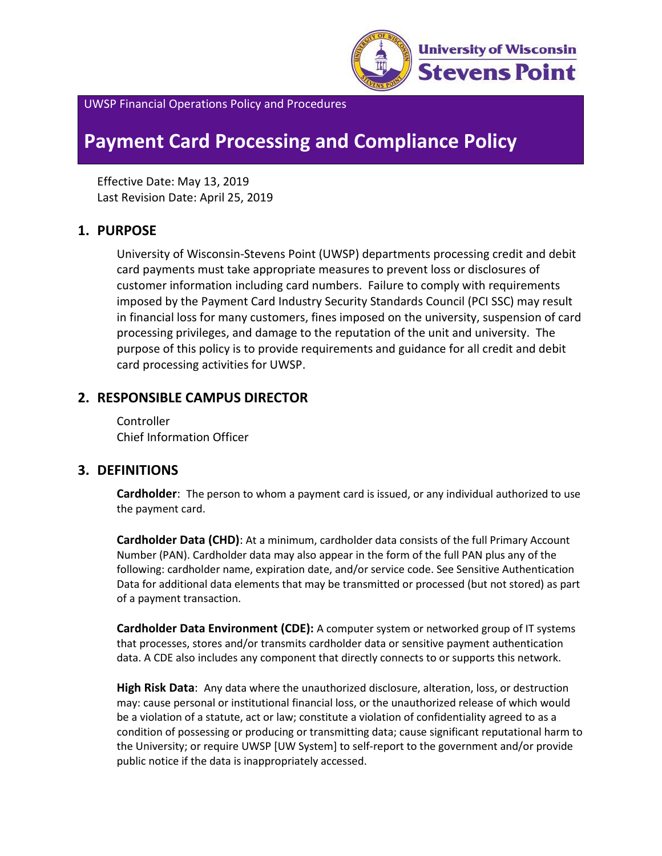

UWSP Financial Operations Policy and Procedures

# **Payment Card Processing and Compliance Policy**

Effective Date: May 13, 2019 Last Revision Date: April 25, 2019

## **1. PURPOSE**

University of Wisconsin-Stevens Point (UWSP) departments processing credit and debit card payments must take appropriate measures to prevent loss or disclosures of customer information including card numbers. Failure to comply with requirements imposed by the Payment Card Industry Security Standards Council (PCI SSC) may result in financial loss for many customers, fines imposed on the university, suspension of card processing privileges, and damage to the reputation of the unit and university. The purpose of this policy is to provide requirements and guidance for all credit and debit card processing activities for UWSP.

## **2. RESPONSIBLE CAMPUS DIRECTOR**

**Controller** Chief Information Officer

## **3. DEFINITIONS**

**Cardholder**: The person to whom a payment card is issued, or any individual authorized to use the payment card.

**Cardholder Data (CHD)**: At a minimum, cardholder data consists of the full Primary Account Number (PAN). Cardholder data may also appear in the form of the full PAN plus any of the following: cardholder name, expiration date, and/or service code. See Sensitive Authentication Data for additional data elements that may be transmitted or processed (but not stored) as part of a payment transaction.

**Cardholder Data Environment (CDE):** A computer system or networked group of IT systems that processes, stores and/or transmits cardholder data or sensitive payment authentication data. A CDE also includes any component that directly connects to or supports this network.

**High Risk Data**: Any data where the unauthorized disclosure, alteration, loss, or destruction may: cause personal or institutional financial loss, or the unauthorized release of which would be a violation of a statute, act or law; constitute a violation of confidentiality agreed to as a condition of possessing or producing or transmitting data; cause significant reputational harm to the University; or require UWSP [UW System] to self-report to the government and/or provide public notice if the data is inappropriately accessed.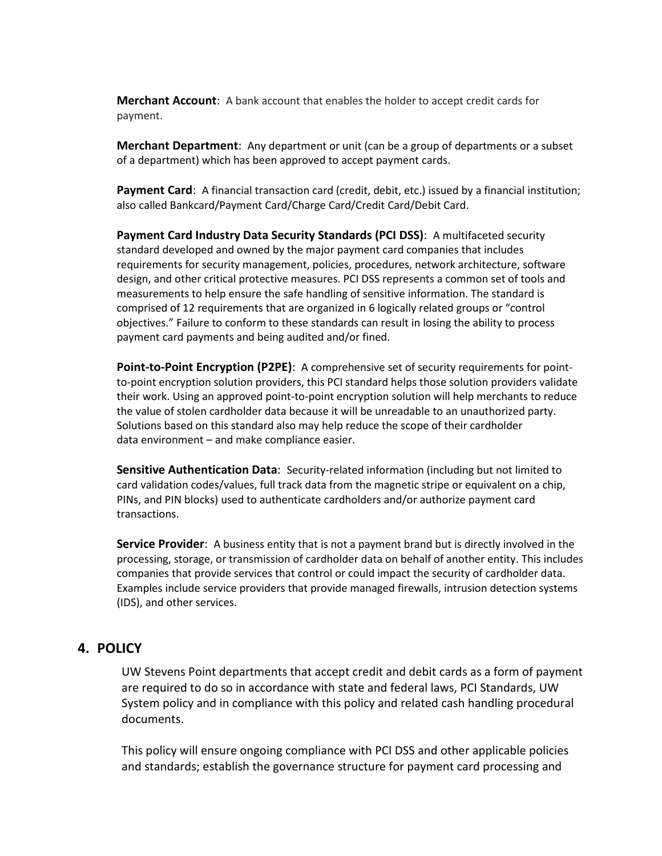**Merchant Account**: A bank account that enables the holder to accept credit cards for payment.

**Merchant Department**: Any department or unit (can be a group of departments or a subset of a department) which has been approved to accept payment cards.

**Payment Card**: A financial transaction card (credit, debit, etc.) issued by a financial institution; also called Bankcard/Payment Card/Charge Card/Credit Card/Debit Card.

**Payment Card Industry Data Security Standards (PCI DSS)**: A multifaceted security standard developed and owned by the major payment card companies that includes requirements for security management, policies, procedures, network architecture, software design, and other critical protective measures. PCI DSS represents a common set of tools and measurements to help ensure the safe handling of sensitive information. The standard is comprised of 12 requirements that are organized in 6 logically related groups or "control objectives." Failure to conform to these standards can result in losing the ability to process payment card payments and being audited and/or fined.

**Point-to-Point Encryption (P2PE)**: A comprehensive set of security requirements for pointto-point encryption solution providers, this PCI standard helps those solution providers validate their work. Using an approved point-to-point encryption solution will help merchants to reduce the value of stolen cardholder data because it will be unreadable to an unauthorized party. Solutions based on this standard also may help reduce the scope of their cardholder data environment – and make compliance easier.

**Sensitive Authentication Data**: Security-related information (including but not limited to card validation codes/values, full track data from the magnetic stripe or equivalent on a chip, PINs, and PIN blocks) used to authenticate cardholders and/or authorize payment card transactions.

**Service Provider**: A business entity that is not a payment brand but is directly involved in the processing, storage, or transmission of cardholder data on behalf of another entity. This includes companies that provide services that control or could impact the security of cardholder data. Examples include service providers that provide managed firewalls, intrusion detection systems (IDS), and other services.

#### **4. POLICY**

UW Stevens Point departments that accept credit and debit cards as a form of payment are required to do so in accordance with state and federal laws, PCI Standards, UW System policy and in compliance with this policy and related cash handling procedural documents.

This policy will ensure ongoing compliance with PCI DSS and other applicable policies and standards; establish the governance structure for payment card processing and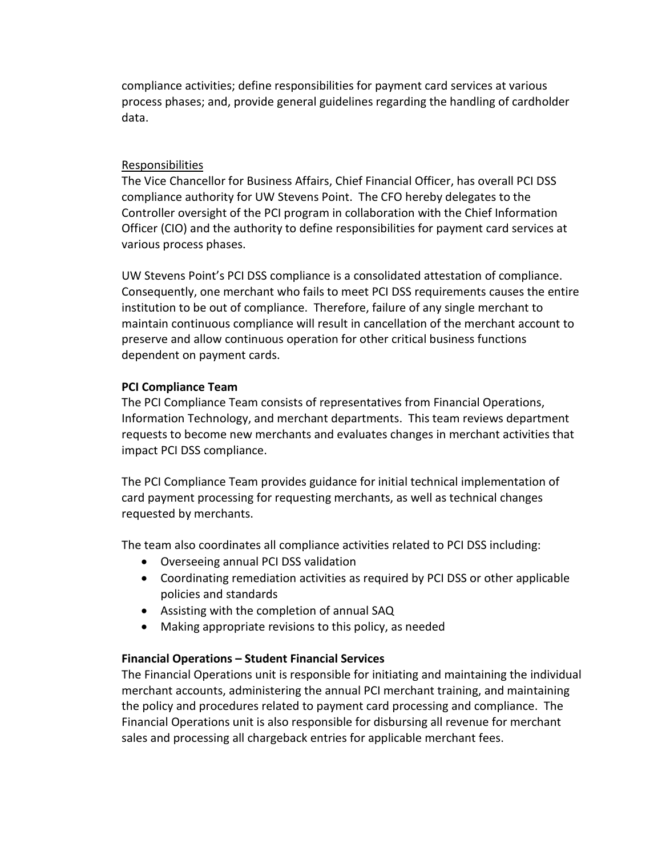compliance activities; define responsibilities for payment card services at various process phases; and, provide general guidelines regarding the handling of cardholder data.

#### **Responsibilities**

The Vice Chancellor for Business Affairs, Chief Financial Officer, has overall PCI DSS compliance authority for UW Stevens Point. The CFO hereby delegates to the Controller oversight of the PCI program in collaboration with the Chief Information Officer (CIO) and the authority to define responsibilities for payment card services at various process phases.

UW Stevens Point's PCI DSS compliance is a consolidated attestation of compliance. Consequently, one merchant who fails to meet PCI DSS requirements causes the entire institution to be out of compliance. Therefore, failure of any single merchant to maintain continuous compliance will result in cancellation of the merchant account to preserve and allow continuous operation for other critical business functions dependent on payment cards.

#### **PCI Compliance Team**

The PCI Compliance Team consists of representatives from Financial Operations, Information Technology, and merchant departments. This team reviews department requests to become new merchants and evaluates changes in merchant activities that impact PCI DSS compliance.

The PCI Compliance Team provides guidance for initial technical implementation of card payment processing for requesting merchants, as well as technical changes requested by merchants.

The team also coordinates all compliance activities related to PCI DSS including:

- Overseeing annual PCI DSS validation
- Coordinating remediation activities as required by PCI DSS or other applicable policies and standards
- Assisting with the completion of annual SAQ
- Making appropriate revisions to this policy, as needed

## **Financial Operations – Student Financial Services**

The Financial Operations unit is responsible for initiating and maintaining the individual merchant accounts, administering the annual PCI merchant training, and maintaining the policy and procedures related to payment card processing and compliance. The Financial Operations unit is also responsible for disbursing all revenue for merchant sales and processing all chargeback entries for applicable merchant fees.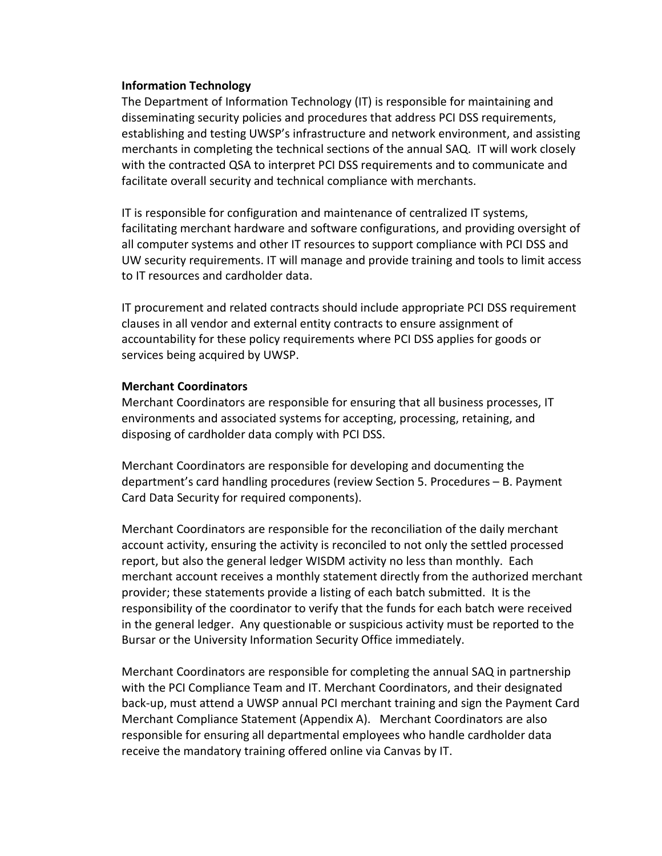#### **Information Technology**

The Department of Information Technology (IT) is responsible for maintaining and disseminating security policies and procedures that address PCI DSS requirements, establishing and testing UWSP's infrastructure and network environment, and assisting merchants in completing the technical sections of the annual SAQ. IT will work closely with the contracted QSA to interpret PCI DSS requirements and to communicate and facilitate overall security and technical compliance with merchants.

IT is responsible for configuration and maintenance of centralized IT systems, facilitating merchant hardware and software configurations, and providing oversight of all computer systems and other IT resources to support compliance with PCI DSS and UW security requirements. IT will manage and provide training and tools to limit access to IT resources and cardholder data.

IT procurement and related contracts should include appropriate PCI DSS requirement clauses in all vendor and external entity contracts to ensure assignment of accountability for these policy requirements where PCI DSS applies for goods or services being acquired by UWSP.

#### **Merchant Coordinators**

Merchant Coordinators are responsible for ensuring that all business processes, IT environments and associated systems for accepting, processing, retaining, and disposing of cardholder data comply with PCI DSS.

Merchant Coordinators are responsible for developing and documenting the department's card handling procedures (review Section 5. Procedures – B. Payment Card Data Security for required components).

Merchant Coordinators are responsible for the reconciliation of the daily merchant account activity, ensuring the activity is reconciled to not only the settled processed report, but also the general ledger WISDM activity no less than monthly. Each merchant account receives a monthly statement directly from the authorized merchant provider; these statements provide a listing of each batch submitted. It is the responsibility of the coordinator to verify that the funds for each batch were received in the general ledger. Any questionable or suspicious activity must be reported to the Bursar or the University Information Security Office immediately.

Merchant Coordinators are responsible for completing the annual SAQ in partnership with the PCI Compliance Team and IT. Merchant Coordinators, and their designated back-up, must attend a UWSP annual PCI merchant training and sign the Payment Card Merchant Compliance Statement (Appendix A). Merchant Coordinators are also responsible for ensuring all departmental employees who handle cardholder data receive the mandatory training offered online via Canvas by IT.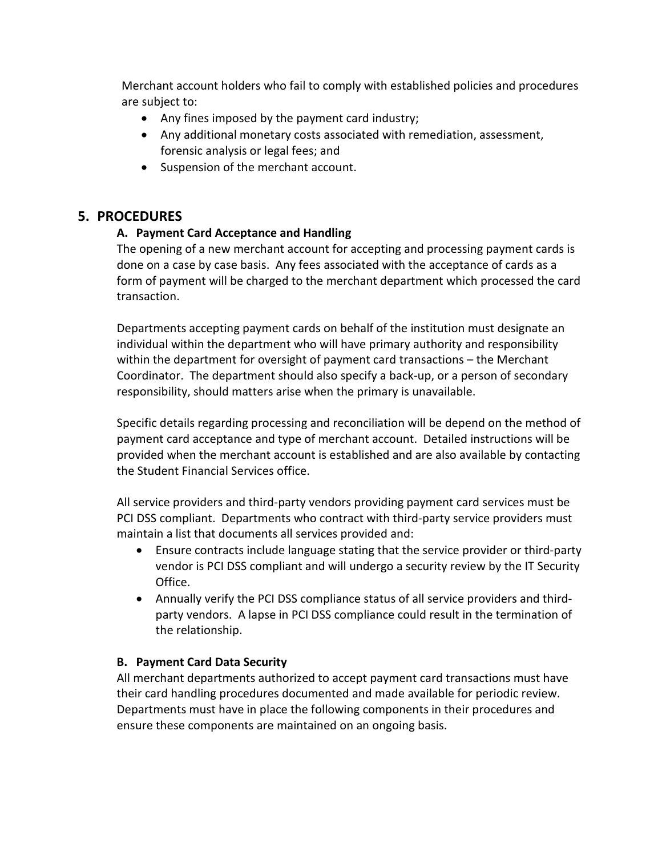Merchant account holders who fail to comply with established policies and procedures are subject to:

- Any fines imposed by the payment card industry;
- Any additional monetary costs associated with remediation, assessment, forensic analysis or legal fees; and
- Suspension of the merchant account.

## **5. PROCEDURES**

## **A. Payment Card Acceptance and Handling**

The opening of a new merchant account for accepting and processing payment cards is done on a case by case basis. Any fees associated with the acceptance of cards as a form of payment will be charged to the merchant department which processed the card transaction.

Departments accepting payment cards on behalf of the institution must designate an individual within the department who will have primary authority and responsibility within the department for oversight of payment card transactions – the Merchant Coordinator. The department should also specify a back-up, or a person of secondary responsibility, should matters arise when the primary is unavailable.

Specific details regarding processing and reconciliation will be depend on the method of payment card acceptance and type of merchant account. Detailed instructions will be provided when the merchant account is established and are also available by contacting the Student Financial Services office.

All service providers and third-party vendors providing payment card services must be PCI DSS compliant. Departments who contract with third-party service providers must maintain a list that documents all services provided and:

- Ensure contracts include language stating that the service provider or third-party vendor is PCI DSS compliant and will undergo a security review by the IT Security Office.
- Annually verify the PCI DSS compliance status of all service providers and thirdparty vendors. A lapse in PCI DSS compliance could result in the termination of the relationship.

## **B. Payment Card Data Security**

All merchant departments authorized to accept payment card transactions must have their card handling procedures documented and made available for periodic review. Departments must have in place the following components in their procedures and ensure these components are maintained on an ongoing basis.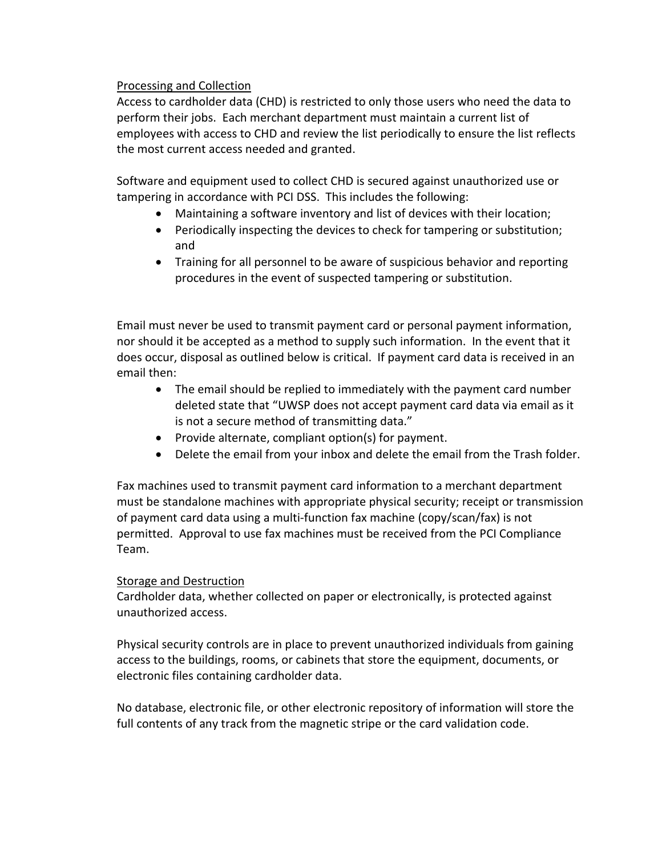#### Processing and Collection

Access to cardholder data (CHD) is restricted to only those users who need the data to perform their jobs. Each merchant department must maintain a current list of employees with access to CHD and review the list periodically to ensure the list reflects the most current access needed and granted.

Software and equipment used to collect CHD is secured against unauthorized use or tampering in accordance with PCI DSS. This includes the following:

- Maintaining a software inventory and list of devices with their location;
- Periodically inspecting the devices to check for tampering or substitution; and
- Training for all personnel to be aware of suspicious behavior and reporting procedures in the event of suspected tampering or substitution.

Email must never be used to transmit payment card or personal payment information, nor should it be accepted as a method to supply such information. In the event that it does occur, disposal as outlined below is critical. If payment card data is received in an email then:

- The email should be replied to immediately with the payment card number deleted state that "UWSP does not accept payment card data via email as it is not a secure method of transmitting data."
- Provide alternate, compliant option(s) for payment.
- Delete the email from your inbox and delete the email from the Trash folder.

Fax machines used to transmit payment card information to a merchant department must be standalone machines with appropriate physical security; receipt or transmission of payment card data using a multi-function fax machine (copy/scan/fax) is not permitted. Approval to use fax machines must be received from the PCI Compliance Team.

#### Storage and Destruction

Cardholder data, whether collected on paper or electronically, is protected against unauthorized access.

Physical security controls are in place to prevent unauthorized individuals from gaining access to the buildings, rooms, or cabinets that store the equipment, documents, or electronic files containing cardholder data.

No database, electronic file, or other electronic repository of information will store the full contents of any track from the magnetic stripe or the card validation code.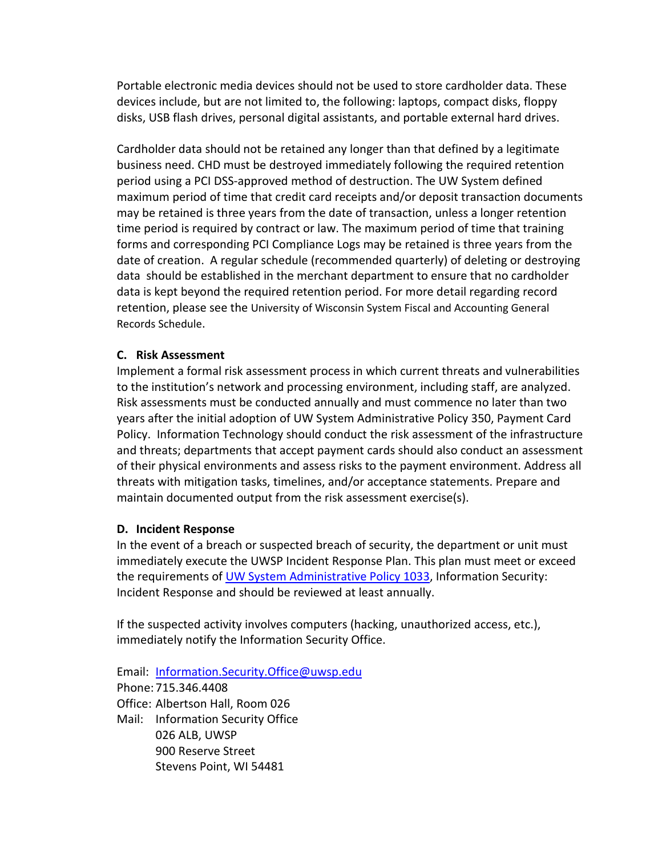Portable electronic media devices should not be used to store cardholder data. These devices include, but are not limited to, the following: laptops, compact disks, floppy disks, USB flash drives, personal digital assistants, and portable external hard drives.

Cardholder data should not be retained any longer than that defined by a legitimate business need. CHD must be destroyed immediately following the required retention period using a PCI DSS-approved method of destruction. The UW System defined maximum period of time that credit card receipts and/or deposit transaction documents may be retained is three years from the date of transaction, unless a longer retention time period is required by contract or law. The maximum period of time that training forms and corresponding PCI Compliance Logs may be retained is three years from the date of creation. A regular schedule (recommended quarterly) of deleting or destroying data should be established in the merchant department to ensure that no cardholder data is kept beyond the required retention period. [For more detail regarding record](https://www.wisconsin.edu/general-counsel/download/public_records/records_schedules/Fiscal-and-Accounting-General-Records-Schedule-(Amended-Nov-2012).pdf)  [retention, please see the University of Wisconsin System Fiscal and Accounting General](https://www.wisconsin.edu/general-counsel/download/public_records/records_schedules/Fiscal-and-Accounting-General-Records-Schedule-(Amended-Nov-2012).pdf)  [Records Schedule.](https://www.wisconsin.edu/general-counsel/download/public_records/records_schedules/Fiscal-and-Accounting-General-Records-Schedule-(Amended-Nov-2012).pdf)

#### **C. Risk Assessment**

Implement a formal risk assessment process in which current threats and vulnerabilities to the institution's network and processing environment, including staff, are analyzed. Risk assessments must be conducted annually and must commence no later than two years after the initial adoption of UW System Administrative Policy 350, Payment Card Policy. Information Technology should conduct the risk assessment of the infrastructure and threats; departments that accept payment cards should also conduct an assessment of their physical environments and assess risks to the payment environment. Address all threats with mitigation tasks, timelines, and/or acceptance statements. Prepare and maintain documented output from the risk assessment exercise(s).

#### **D. Incident Response**

In the event of a breach or suspected breach of security, the department or unit must immediately execute the UWSP Incident Response Plan. This plan must meet or exceed the requirements of [UW System Administrative Policy 1033,](https://www.wisconsin.edu/uw-policies/uw-system-administrative-policies/information-security-incident-response/) Information Security: Incident Response and should be reviewed at least annually.

If the suspected activity involves computers (hacking, unauthorized access, etc.), immediately notify the Information Security Office.

Email: [Information.Security.Office@uwsp.edu](mailto:Information.Security.Office@uwsp.edu) Phone: 715.346.4408 Office: Albertson Hall, Room 026 Mail: Information Security Office 026 ALB, UWSP 900 Reserve Street Stevens Point, WI 54481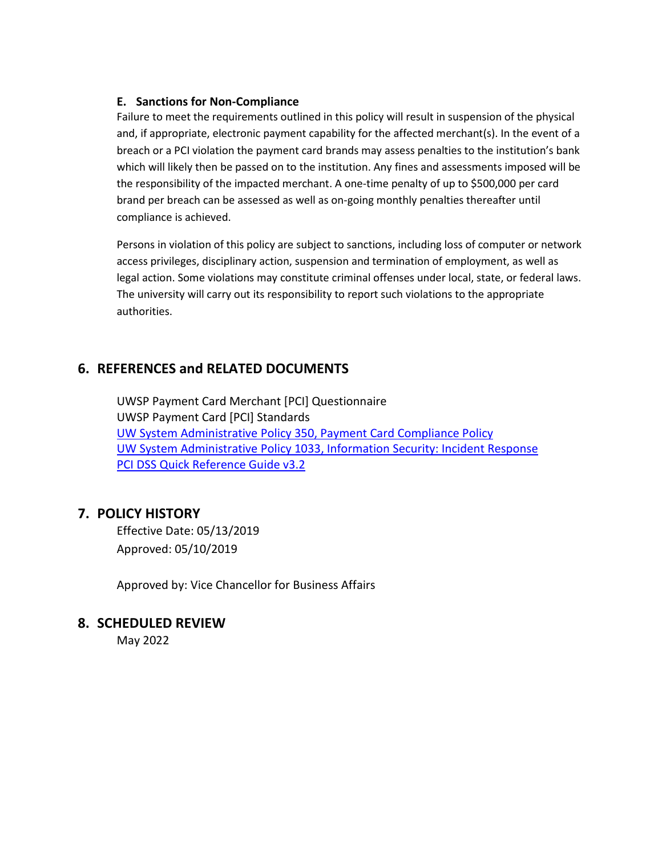#### **E. Sanctions for Non-Compliance**

Failure to meet the requirements outlined in this policy will result in suspension of the physical and, if appropriate, electronic payment capability for the affected merchant(s). In the event of a breach or a PCI violation the payment card brands may assess penalties to the institution's bank which will likely then be passed on to the institution. Any fines and assessments imposed will be the responsibility of the impacted merchant. A one-time penalty of up to \$500,000 per card brand per breach can be assessed as well as on-going monthly penalties thereafter until compliance is achieved.

Persons in violation of this policy are subject to sanctions, including loss of computer or network access privileges, disciplinary action, suspension and termination of employment, as well as legal action. Some violations may constitute criminal offenses under local, state, or federal laws. The university will carry out its responsibility to report such violations to the appropriate authorities.

## **6. REFERENCES and RELATED DOCUMENTS**

UWSP Payment Card Merchant [PCI] Questionnaire UWSP Payment Card [PCI] Standards [UW System Administrative Policy 350, Payment Card Compliance Policy](https://www.wisconsin.edu/uw-policies/uw-system-administrative-policies/payment-card-policy/) [UW System Administrative Policy 1033, Information Security: Incident Response](https://www.wisconsin.edu/uw-policies/uw-system-administrative-policies/information-security-incident-response/) PCI DSS Quick [Reference Guide v3.2](https://www.pcisecuritystandards.org/documents/PCIDSS_QRGv3_2.pdf?agreement=true&time=1524498120367)

## **7. POLICY HISTORY**

Effective Date: 05/13/2019 Approved: 05/10/2019

Approved by: Vice Chancellor for Business Affairs

## **8. SCHEDULED REVIEW**

May 2022